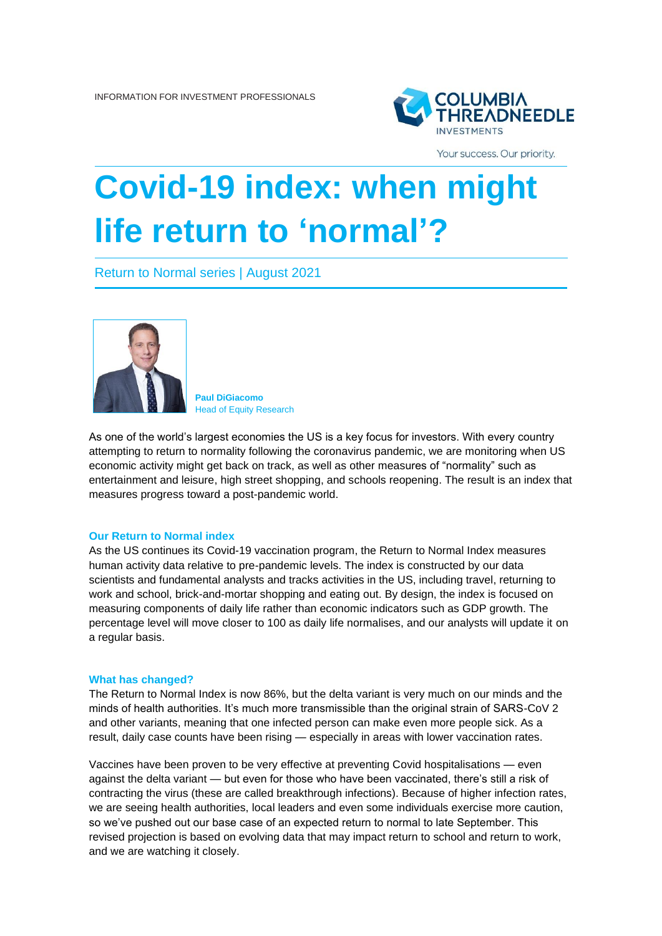

Your success. Our priority.

# **Covid-19 index: when might life return to 'normal'?**

Return to Normal series | August 2021



**Paul DiGiacomo** Head of Equity Research

As one of the world's largest economies the US is a key focus for investors. With every country attempting to return to normality following the coronavirus pandemic, we are monitoring when US economic activity might get back on track, as well as other measures of "normality" such as entertainment and leisure, high street shopping, and schools reopening. The result is an index that measures progress toward a post-pandemic world.

#### **Our Return to Normal index**

As the US continues its Covid-19 vaccination program, the Return to Normal Index measures human activity data relative to pre-pandemic levels. The index is constructed by our data scientists and fundamental analysts and tracks activities in the US, including travel, returning to work and school, brick-and-mortar shopping and eating out. By design, the index is focused on measuring components of daily life rather than economic indicators such as GDP growth. The percentage level will move closer to 100 as daily life normalises, and our analysts will update it on a regular basis.

#### **What has changed?**

The Return to Normal Index is now 86%, but the delta variant is very much on our minds and the minds of health authorities. It's much more transmissible than the original strain of SARS-CoV 2 and other variants, meaning that one infected person can make even more people sick. As a result, daily case counts have been rising — especially in areas with lower vaccination rates.

Vaccines have been proven to be very effective at preventing Covid hospitalisations — even against the delta variant — but even for those who have been vaccinated, there's still a risk of contracting the virus (these are called breakthrough infections). Because of higher infection rates, we are seeing health authorities, local leaders and even some individuals exercise more caution, so we've pushed out our base case of an expected return to normal to late September. This revised projection is based on evolving data that may impact return to school and return to work, and we are watching it closely.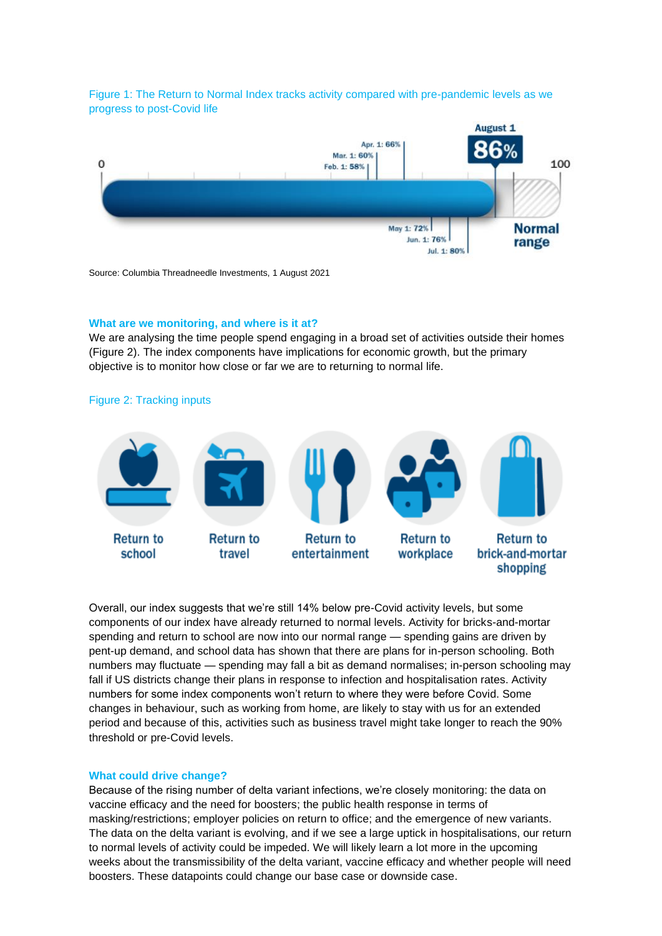Figure 1: The Return to Normal Index tracks activity compared with pre-pandemic levels as we progress to post-Covid life



Source: Columbia Threadneedle Investments, 1 August 2021

### **What are we monitoring, and where is it at?**

We are analysing the time people spend engaging in a broad set of activities outside their homes (Figure 2). The index components have implications for economic growth, but the primary objective is to monitor how close or far we are to returning to normal life.



Overall, our index suggests that we're still 14% below pre-Covid activity levels, but some components of our index have already returned to normal levels. Activity for bricks-and-mortar spending and return to school are now into our normal range — spending gains are driven by pent-up demand, and school data has shown that there are plans for in-person schooling. Both numbers may fluctuate — spending may fall a bit as demand normalises; in-person schooling may fall if US districts change their plans in response to infection and hospitalisation rates. Activity numbers for some index components won't return to where they were before Covid. Some changes in behaviour, such as working from home, are likely to stay with us for an extended period and because of this, activities such as business travel might take longer to reach the 90% threshold or pre-Covid levels.

## **What could drive change?**

Because of the rising number of delta variant infections, we're closely monitoring: the data on vaccine efficacy and the need for boosters; the public health response in terms of masking/restrictions; employer policies on return to office; and the emergence of new variants. The data on the delta variant is evolving, and if we see a large uptick in hospitalisations, our return to normal levels of activity could be impeded. We will likely learn a lot more in the upcoming weeks about the transmissibility of the delta variant, vaccine efficacy and whether people will need boosters. These datapoints could change our base case or downside case.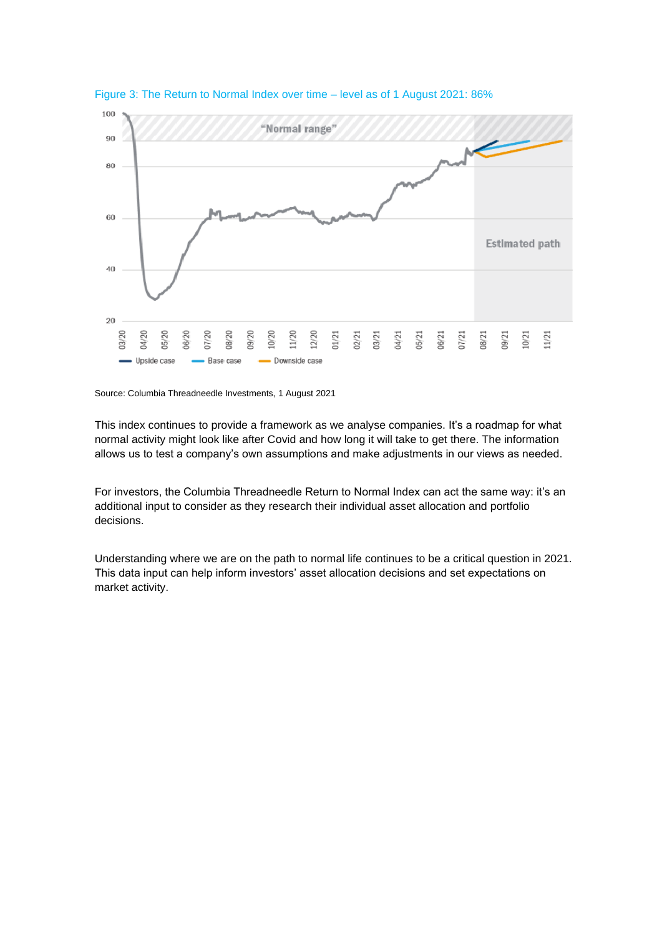

Figure 3: The Return to Normal Index over time – level as of 1 August 2021: 86%

Source: Columbia Threadneedle Investments, 1 August 2021

This index continues to provide a framework as we analyse companies. It's a roadmap for what normal activity might look like after Covid and how long it will take to get there. The information allows us to test a company's own assumptions and make adjustments in our views as needed.

For investors, the Columbia Threadneedle Return to Normal Index can act the same way: it's an additional input to consider as they research their individual asset allocation and portfolio decisions.

Understanding where we are on the path to normal life continues to be a critical question in 2021. This data input can help inform investors' asset allocation decisions and set expectations on market activity.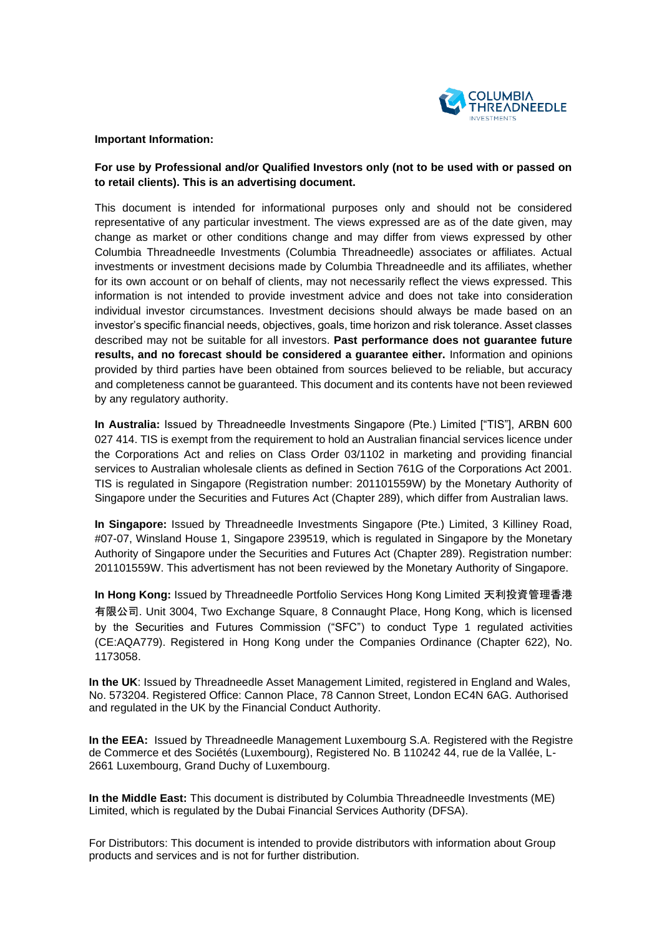

## **Important Information:**

# **For use by Professional and/or Qualified Investors only (not to be used with or passed on to retail clients). This is an advertising document.**

This document is intended for informational purposes only and should not be considered representative of any particular investment. The views expressed are as of the date given, may change as market or other conditions change and may differ from views expressed by other Columbia Threadneedle Investments (Columbia Threadneedle) associates or affiliates. Actual investments or investment decisions made by Columbia Threadneedle and its affiliates, whether for its own account or on behalf of clients, may not necessarily reflect the views expressed. This information is not intended to provide investment advice and does not take into consideration individual investor circumstances. Investment decisions should always be made based on an investor's specific financial needs, objectives, goals, time horizon and risk tolerance. Asset classes described may not be suitable for all investors. **Past performance does not guarantee future results, and no forecast should be considered a guarantee either.** Information and opinions provided by third parties have been obtained from sources believed to be reliable, but accuracy and completeness cannot be guaranteed. This document and its contents have not been reviewed by any regulatory authority.

**In Australia:** Issued by Threadneedle Investments Singapore (Pte.) Limited ["TIS"], ARBN 600 027 414. TIS is exempt from the requirement to hold an Australian financial services licence under the Corporations Act and relies on Class Order 03/1102 in marketing and providing financial services to Australian wholesale clients as defined in Section 761G of the Corporations Act 2001. TIS is regulated in Singapore (Registration number: 201101559W) by the Monetary Authority of Singapore under the Securities and Futures Act (Chapter 289), which differ from Australian laws.

**In Singapore:** Issued by Threadneedle Investments Singapore (Pte.) Limited, 3 Killiney Road, #07-07, Winsland House 1, Singapore 239519, which is regulated in Singapore by the Monetary Authority of Singapore under the Securities and Futures Act (Chapter 289). Registration number: 201101559W. This advertisment has not been reviewed by the Monetary Authority of Singapore.

**In Hong Kong:** Issued by Threadneedle Portfolio Services Hong Kong Limited 天利投資管理香港 有限公司. Unit 3004, Two Exchange Square, 8 Connaught Place, Hong Kong, which is licensed by the Securities and Futures Commission ("SFC") to conduct Type 1 regulated activities (CE:AQA779). Registered in Hong Kong under the Companies Ordinance (Chapter 622), No. 1173058.

**In the UK**: Issued by Threadneedle Asset Management Limited, registered in England and Wales, No. 573204. Registered Office: Cannon Place, 78 Cannon Street, London EC4N 6AG. Authorised and regulated in the UK by the Financial Conduct Authority.

**In the EEA:** Issued by Threadneedle Management Luxembourg S.A. Registered with the Registre de Commerce et des Sociétés (Luxembourg), Registered No. B 110242 44, rue de la Vallée, L-2661 Luxembourg, Grand Duchy of Luxembourg.

**In the Middle East:** This document is distributed by Columbia Threadneedle Investments (ME) Limited, which is regulated by the Dubai Financial Services Authority (DFSA).

For Distributors: This document is intended to provide distributors with information about Group products and services and is not for further distribution.